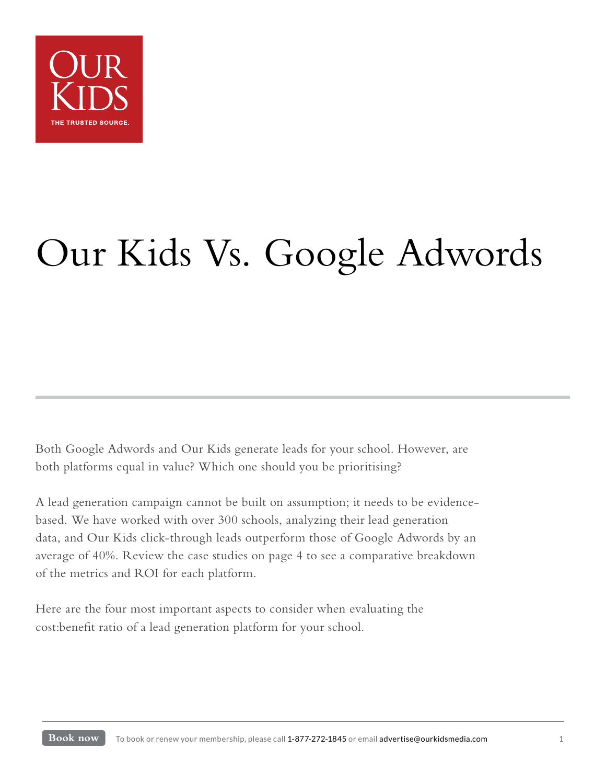

# Our Kids Vs. Google Adwords

Both Google Adwords and Our Kids generate leads for your school. However, are both platforms equal in value? Which one should you be prioritising?

A lead generation campaign cannot be built on assumption; it needs to be evidencebased. We have worked with over 300 schools, analyzing their lead generation data, and Our Kids click-through leads outperform those of Google Adwords by an average of 40%. Review the case studies on page 4 to see a comparative breakdown of the metrics and ROI for each platform.

Here are the four most important aspects to consider when evaluating the cost:benefit ratio of a lead generation platform for your school.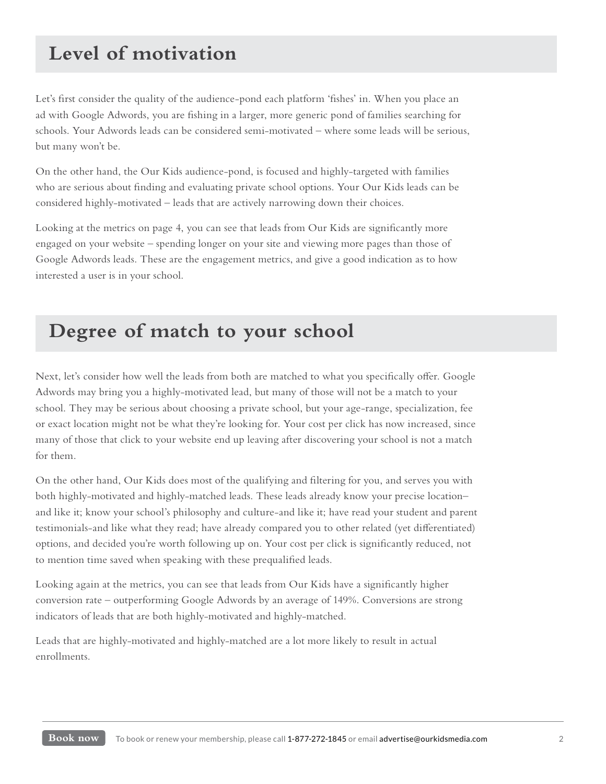## **Level of motivation**

Let's first consider the quality of the audience-pond each platform 'fishes' in. When you place an ad with Google Adwords, you are fishing in a larger, more generic pond of families searching for schools. Your Adwords leads can be considered semi-motivated – where some leads will be serious, but many won't be.

On the other hand, the Our Kids audience-pond, is focused and highly-targeted with families who are serious about finding and evaluating private school options. Your Our Kids leads can be considered highly-motivated – leads that are actively narrowing down their choices.

Looking at the metrics on page 4, you can see that leads from Our Kids are significantly more engaged on your website – spending longer on your site and viewing more pages than those of Google Adwords leads. These are the engagement metrics, and give a good indication as to how interested a user is in your school.

### **Degree of match to your school**

Next, let's consider how well the leads from both are matched to what you specifically offer. Google Adwords may bring you a highly-motivated lead, but many of those will not be a match to your school. They may be serious about choosing a private school, but your age-range, specialization, fee or exact location might not be what they're looking for. Your cost per click has now increased, since many of those that click to your website end up leaving after discovering your school is not a match for them.

On the other hand, Our Kids does most of the qualifying and filtering for you, and serves you with both highly-motivated and highly-matched leads. These leads already know your precise location– and like it; know your school's philosophy and culture-and like it; have read your student and parent testimonials-and like what they read; have already compared you to other related (yet differentiated) options, and decided you're worth following up on. Your cost per click is significantly reduced, not to mention time saved when speaking with these prequalified leads.

Looking again at the metrics, you can see that leads from Our Kids have a significantly higher conversion rate – outperforming Google Adwords by an average of 149%. Conversions are strong indicators of leads that are both highly-motivated and highly-matched.

Leads that are highly-motivated and highly-matched are a lot more likely to result in actual enrollments.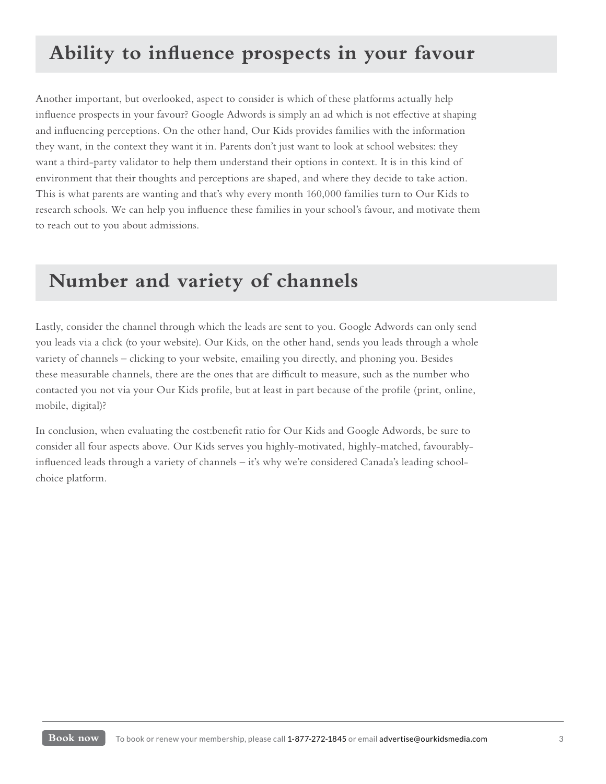# **Ability to influence prospects in your favour**

Another important, but overlooked, aspect to consider is which of these platforms actually help influence prospects in your favour? Google Adwords is simply an ad which is not effective at shaping and influencing perceptions. On the other hand, Our Kids provides families with the information they want, in the context they want it in. Parents don't just want to look at school websites: they want a third-party validator to help them understand their options in context. It is in this kind of environment that their thoughts and perceptions are shaped, and where they decide to take action. This is what parents are wanting and that's why every month 160,000 families turn to Our Kids to research schools. We can help you influence these families in your school's favour, and motivate them to reach out to you about admissions.

#### **Number and variety of channels**

Lastly, consider the channel through which the leads are sent to you. Google Adwords can only send you leads via a click (to your website). Our Kids, on the other hand, sends you leads through a whole variety of channels – clicking to your website, emailing you directly, and phoning you. Besides these measurable channels, there are the ones that are difficult to measure, such as the number who contacted you not via your Our Kids profile, but at least in part because of the profile (print, online, mobile, digital)?

In conclusion, when evaluating the cost:benefit ratio for Our Kids and Google Adwords, be sure to consider all four aspects above. Our Kids serves you highly-motivated, highly-matched, favourablyinfluenced leads through a variety of channels – it's why we're considered Canada's leading schoolchoice platform.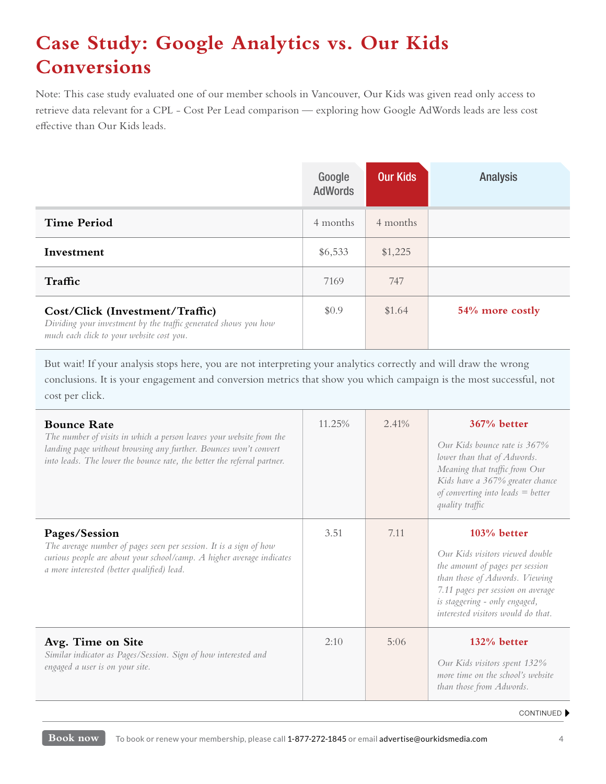# **Case Study: Google Analytics vs. Our Kids Conversions**

Note: This case study evaluated one of our member schools in Vancouver, Our Kids was given read only access to retrieve data relevant for a CPL - Cost Per Lead comparison — exploring how Google AdWords leads are less cost effective than Our Kids leads.

|                                                                                                                                                 | Google<br><b>AdWords</b> | <b>Our Kids</b> | <b>Analysis</b> |
|-------------------------------------------------------------------------------------------------------------------------------------------------|--------------------------|-----------------|-----------------|
| <b>Time Period</b>                                                                                                                              | 4 months                 | 4 months        |                 |
| Investment                                                                                                                                      | \$6,533                  | \$1,225         |                 |
| Traffic                                                                                                                                         | 7169                     | 747             |                 |
| Cost/Click (Investment/Traffic)<br>Dividing your investment by the traffic generated shows you how<br>much each click to your website cost you. | \$0.9                    | \$1.64          | 54% more costly |

But wait! If your analysis stops here, you are not interpreting your analytics correctly and will draw the wrong

conclusions. It is your engagement and conversion metrics that show you which campaign is the most successful, not cost per click.

| <b>Bounce Rate</b><br>The number of visits in which a person leaves your website from the<br>landing page without browsing any further. Bounces won't convert<br>into leads. The lower the bounce rate, the better the referral partner. | 11.25% | 2.41% | $367%$ better<br>Our Kids hounce rate is 367%<br>lower than that of Adwords.<br>Meaning that traffic from Our<br>Kids have a 367% greater chance<br>of converting into leads $=$ better<br>quality traffic                        |
|------------------------------------------------------------------------------------------------------------------------------------------------------------------------------------------------------------------------------------------|--------|-------|-----------------------------------------------------------------------------------------------------------------------------------------------------------------------------------------------------------------------------------|
| Pages/Session<br>The average number of pages seen per session. It is a sign of how<br>curious people are about your school/camp. A higher average indicates<br>a more interested (better qualified) lead.                                | 3.51   | 7.11  | $103%$ better<br>Our Kids visitors viewed double<br>the amount of pages per session<br>than those of Adwords. Viewing<br>7.11 pages per session on average<br>is staggering - only engaged,<br>interested visitors would do that. |
| Avg. Time on Site<br>Similar indicator as Pages/Session. Sign of how interested and<br>engaged a user is on your site.                                                                                                                   | 2:10   | 5:06  | 132% better<br>Our Kids visitors spent 132%<br>more time on the school's website<br>than those from Adwords.                                                                                                                      |

#### CONTINUED  $\blacktriangleright$